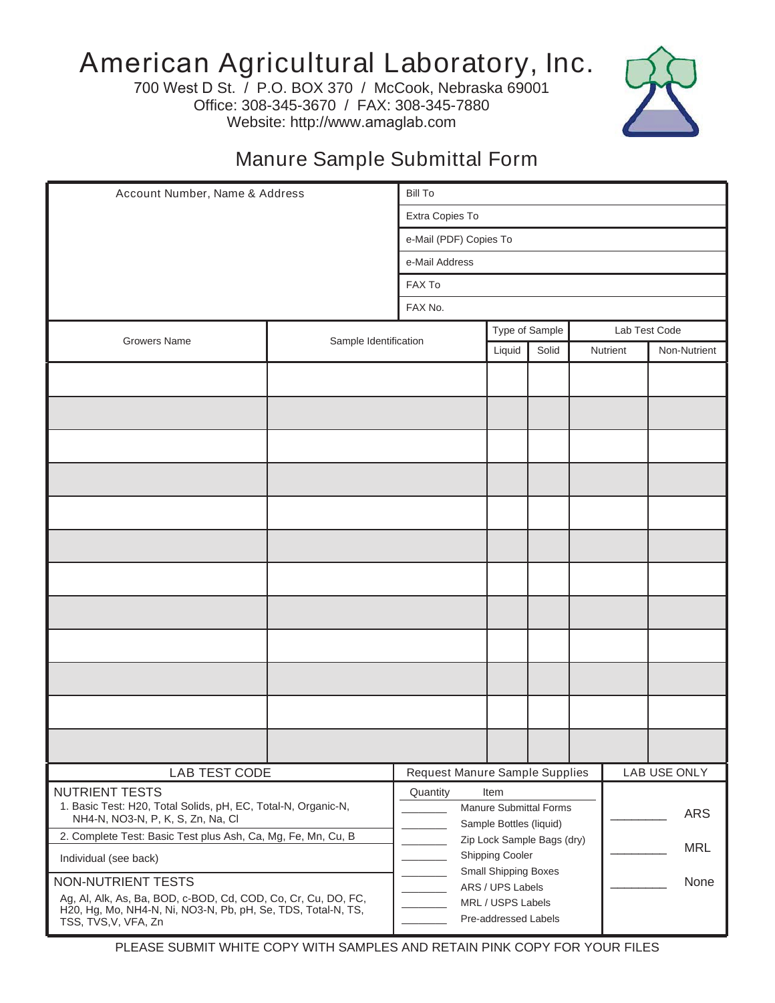## American Agricultural Laboratory, Inc.

700 West D St. / P.O. BOX 370 / McCook, Nebraska 69001 Office: 308-345-3670 / FAX: 308-345-7880 Website: http://www.amaglab.com



## Manure Sample Submittal Form

| Account Number, Name & Address                                                                                                                        |                                                       | <b>Bill To</b>                 |        |                |  |                          |               |  |
|-------------------------------------------------------------------------------------------------------------------------------------------------------|-------------------------------------------------------|--------------------------------|--------|----------------|--|--------------------------|---------------|--|
|                                                                                                                                                       |                                                       | Extra Copies To                |        |                |  |                          |               |  |
|                                                                                                                                                       |                                                       | e-Mail (PDF) Copies To         |        |                |  |                          |               |  |
|                                                                                                                                                       | e-Mail Address                                        |                                |        |                |  |                          |               |  |
|                                                                                                                                                       | FAX To                                                |                                |        |                |  |                          |               |  |
|                                                                                                                                                       | FAX No.                                               |                                |        |                |  |                          |               |  |
|                                                                                                                                                       |                                                       |                                |        | Type of Sample |  |                          | Lab Test Code |  |
| <b>Growers Name</b>                                                                                                                                   | Sample Identification                                 |                                | Liquid | Solid          |  | Nutrient<br>Non-Nutrient |               |  |
|                                                                                                                                                       |                                                       |                                |        |                |  |                          |               |  |
|                                                                                                                                                       |                                                       |                                |        |                |  |                          |               |  |
|                                                                                                                                                       |                                                       |                                |        |                |  |                          |               |  |
|                                                                                                                                                       |                                                       |                                |        |                |  |                          |               |  |
|                                                                                                                                                       |                                                       |                                |        |                |  |                          |               |  |
|                                                                                                                                                       |                                                       |                                |        |                |  |                          |               |  |
|                                                                                                                                                       |                                                       |                                |        |                |  |                          |               |  |
|                                                                                                                                                       |                                                       |                                |        |                |  |                          |               |  |
|                                                                                                                                                       |                                                       |                                |        |                |  |                          |               |  |
|                                                                                                                                                       |                                                       |                                |        |                |  |                          |               |  |
|                                                                                                                                                       |                                                       |                                |        |                |  |                          |               |  |
|                                                                                                                                                       |                                                       |                                |        |                |  |                          |               |  |
|                                                                                                                                                       |                                                       |                                |        |                |  |                          |               |  |
| LAB TEST CODE                                                                                                                                         |                                                       | Request Manure Sample Supplies |        |                |  |                          | LAB USE ONLY  |  |
| <b>NUTRIENT TESTS</b>                                                                                                                                 |                                                       | Quantity<br>Item               |        |                |  |                          |               |  |
| 1. Basic Test: H20, Total Solids, pH, EC, Total-N, Organic-N,<br>NH4-N, NO3-N, P, K, S, Zn, Na, Cl                                                    |                                                       | Manure Submittal Forms         |        |                |  | <b>ARS</b>               |               |  |
| 2. Complete Test: Basic Test plus Ash, Ca, Mg, Fe, Mn, Cu, B                                                                                          | Sample Bottles (liquid)<br>Zip Lock Sample Bags (dry) |                                |        |                |  |                          |               |  |
| Individual (see back)                                                                                                                                 | <b>MRL</b><br>Shipping Cooler                         |                                |        |                |  |                          |               |  |
| NON-NUTRIENT TESTS                                                                                                                                    | <b>Small Shipping Boxes</b><br>ARS / UPS Labels       |                                |        |                |  | None                     |               |  |
| Ag, Al, Alk, As, Ba, BOD, c-BOD, Cd, COD, Co, Cr, Cu, DO, FC,<br>H20, Hg, Mo, NH4-N, Ni, NO3-N, Pb, pH, Se, TDS, Total-N, TS,<br>TSS, TVS, V, VFA, Zn | MRL / USPS Labels<br>Pre-addressed Labels             |                                |        |                |  |                          |               |  |

PLEASE SUBMIT WHITE COPY WITH SAMPLES AND RETAIN PINK COPY FOR YOUR FILES